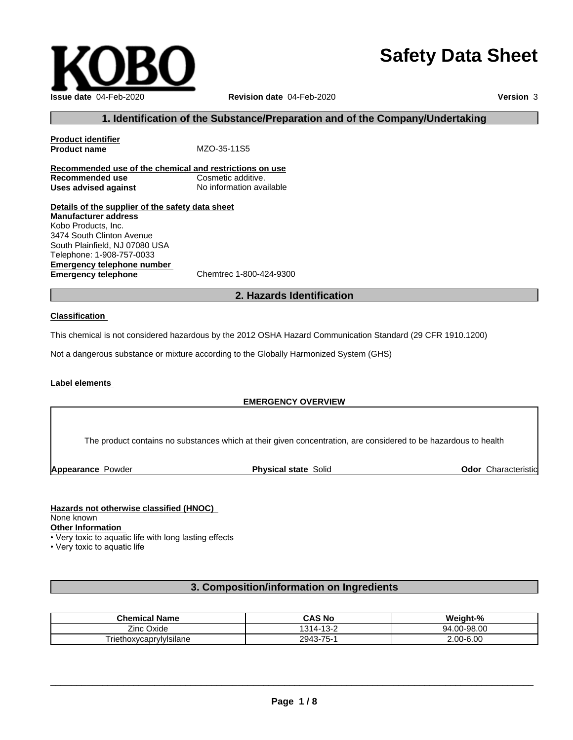# **Safety Data Sheet**



### **1. Identification of the Substance/Preparation and of the Company/Undertaking**

**Product identifier Product name** MZO-35-11S5 **Recommended use of the chemical and restrictions on use Recommended use** Cosmetic additive. **Uses advised against** No information available

**Details of the supplier of the safety data sheet Emergency telephone number**<br> **Emergency telephone**<br>
Chemtrec 1-800-424-9300 **Emergency telephone Manufacturer address** Kobo Products, Inc. 3474 South Clinton Avenue South Plainfield, NJ 07080 USA Telephone: 1-908-757-0033

### **2. Hazards Identification**

#### **Classification**

This chemical is not considered hazardous by the 2012 OSHA Hazard Communication Standard (29 CFR 1910.1200)

Not a dangerous substance or mixture according to the Globally Harmonized System (GHS)

### **Label elements**

### **EMERGENCY OVERVIEW**

The product contains no substances which at their given concentration, are considered to be hazardous to health

**Appearance Powder <b>Physical state** Solid

**Odor** Characteristic

### **Hazards not otherwise classified (HNOC)**

None known

**Other Information**

• Very toxic to aquatic life with long lasting effects

• Very toxic to aquatic life

### **3. Composition/information on Ingredients**

| <b>Chemical Name</b>            | <b>CAS No</b>                  | - 07<br><b>Weight-</b> |
|---------------------------------|--------------------------------|------------------------|
| $- \cdot$<br>-<br>∠inc<br>Oxide | $\lambda$<br>121<br>.<br>- - ت | $.00 - 98.00$<br>94    |
| . .<br>Friethoxycaprylylsilane  | -75-<br>2943                   | 2.00-6.00              |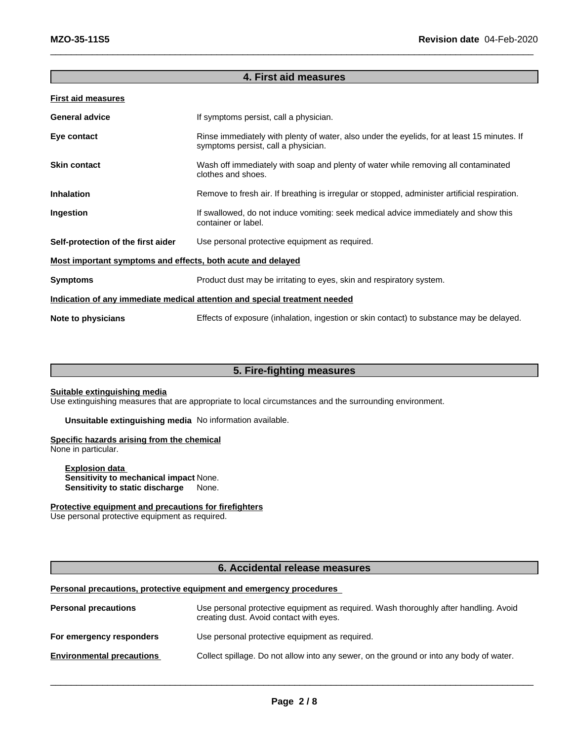| <b>First aid measures</b>                                   |                                                                                                                                    |
|-------------------------------------------------------------|------------------------------------------------------------------------------------------------------------------------------------|
| <b>General advice</b>                                       | If symptoms persist, call a physician.                                                                                             |
| Eye contact                                                 | Rinse immediately with plenty of water, also under the eyelids, for at least 15 minutes. If<br>symptoms persist, call a physician. |
| <b>Skin contact</b>                                         | Wash off immediately with soap and plenty of water while removing all contaminated<br>clothes and shoes.                           |
| <b>Inhalation</b>                                           | Remove to fresh air. If breathing is irregular or stopped, administer artificial respiration.                                      |
| Ingestion                                                   | If swallowed, do not induce vomiting: seek medical advice immediately and show this<br>container or label.                         |
| Self-protection of the first aider                          | Use personal protective equipment as required.                                                                                     |
| Most important symptoms and effects, both acute and delayed |                                                                                                                                    |
| <b>Symptoms</b>                                             | Product dust may be irritating to eyes, skin and respiratory system.                                                               |
|                                                             | Indication of any immediate medical attention and special treatment needed                                                         |
| Note to physicians                                          | Effects of exposure (inhalation, ingestion or skin contact) to substance may be delayed.                                           |

**4. First aid measures**

### **5. Fire-fighting measures**

### **Suitable extinguishing media**

Use extinguishing measures that are appropriate to local circumstances and the surrounding environment.

**Unsuitable extinguishing media** No information available.

### **Specific hazards arising from the chemical**

None in particular.

**Explosion data Sensitivity to mechanical impact** None. **Sensitivity to static discharge** None.

### **Protective equipment and precautions for firefighters**

Use personal protective equipment as required.

### **6. Accidental release measures**

### **Personal precautions, protective equipment and emergency procedures**

| <b>Personal precautions</b>      | Use personal protective equipment as required. Wash thoroughly after handling. Avoid<br>creating dust. Avoid contact with eyes. |
|----------------------------------|---------------------------------------------------------------------------------------------------------------------------------|
| For emergency responders         | Use personal protective equipment as required.                                                                                  |
| <b>Environmental precautions</b> | Collect spillage. Do not allow into any sewer, on the ground or into any body of water.                                         |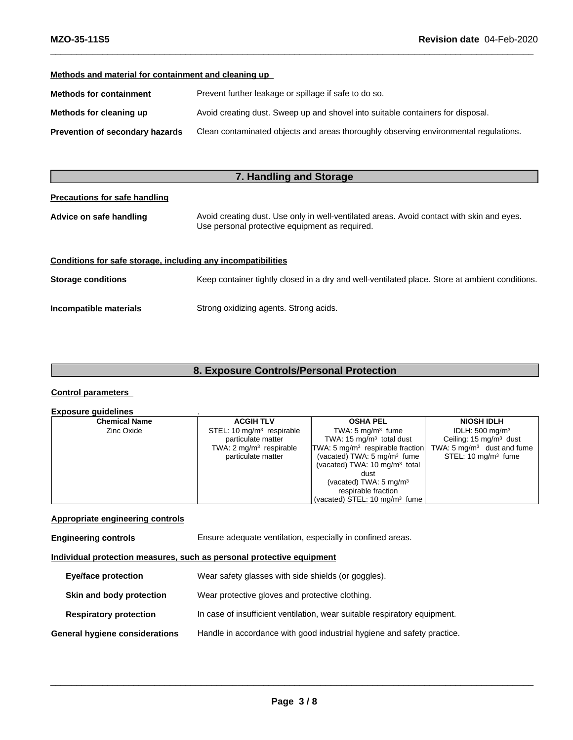### **Methods and material for containment and cleaning up**

| <b>Methods for containment</b>  | Prevent further leakage or spillage if safe to do so.                                |
|---------------------------------|--------------------------------------------------------------------------------------|
| Methods for cleaning up         | Avoid creating dust. Sweep up and shovel into suitable containers for disposal.      |
| Prevention of secondary hazards | Clean contaminated objects and areas thoroughly observing environmental regulations. |

### **7. Handling and Storage**

### **Precautions for safe handling**

| Advice on safe handling                                      | Avoid creating dust. Use only in well-ventilated areas. Avoid contact with skin and eyes.<br>Use personal protective equipment as required. |
|--------------------------------------------------------------|---------------------------------------------------------------------------------------------------------------------------------------------|
| Conditions for safe storage, including any incompatibilities |                                                                                                                                             |

**Storage conditions** Keep container tightly closed in a dry and well-ventilated place. Store at ambient conditions.

**Incompatible materials** Strong oxidizing agents. Strong acids.

### **8. Exposure Controls/Personal Protection**

### **Control parameters**

### **Exposure guidelines** .

| <b>Chemical Name</b> | <b>ACGIH TLV</b>                     | <b>OSHA PEL</b>                           | <b>NIOSH IDLH</b>                     |
|----------------------|--------------------------------------|-------------------------------------------|---------------------------------------|
| Zinc Oxide           | STEL: $10 \text{ mg/m}^3$ respirable | TWA: $5 \text{ mg/m}^3$ fume              | IDLH: $500 \text{ mg/m}^3$            |
|                      | particulate matter                   | TWA: 15 $mg/m3$ total dust                | Ceiling: $15 \text{ mg/m}^3$ dust     |
|                      | TWA: $2 \text{ mg/m}^3$ respirable   | $TWA: 5 mg/m3$ respirable fraction        | TWA: $5 \text{ mg/m}^3$ dust and fume |
|                      | particulate matter                   | (vacated) TWA: $5 \text{ mg/m}^3$ fume    | STEL: $10 \text{ mg/m}^3$ fume        |
|                      |                                      | (vacated) TWA: $10 \text{ mg/m}^3$ total  |                                       |
|                      |                                      | dust                                      |                                       |
|                      |                                      | (vacated) TWA: $5 \text{ mg/m}^3$         |                                       |
|                      |                                      | respirable fraction                       |                                       |
|                      |                                      | (vacated) STEL: 10 mg/m <sup>3</sup> fume |                                       |

### **Appropriate engineering controls**

**Engineering controls** Ensure adequate ventilation, especially in confined areas.

### **Individual protection measures, such as personal protective equipment**

| <b>Eye/face protection</b>     | Wear safety glasses with side shields (or goggles).                       |
|--------------------------------|---------------------------------------------------------------------------|
| Skin and body protection       | Wear protective gloves and protective clothing.                           |
| <b>Respiratory protection</b>  | In case of insufficient ventilation, wear suitable respiratory equipment. |
| General hygiene considerations | Handle in accordance with good industrial hygiene and safety practice.    |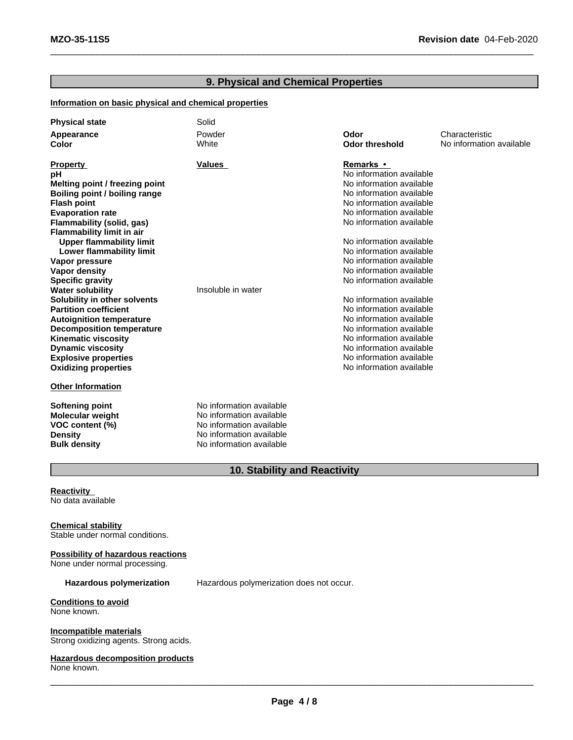### **9. Physical and Chemical Properties**

### **Information on basic physical and chemical properties**

| <b>Physical state</b>            | Solid                    |                          |                          |
|----------------------------------|--------------------------|--------------------------|--------------------------|
| Appearance                       | Powder                   | Odor                     | Characteristic           |
| <b>Color</b>                     | White                    | <b>Odor threshold</b>    | No information available |
|                                  |                          |                          |                          |
| <b>Property</b>                  | Values                   | Remarks •                |                          |
| рH                               |                          | No information available |                          |
| Melting point / freezing point   |                          | No information available |                          |
| Boiling point / boiling range    |                          | No information available |                          |
| <b>Flash point</b>               |                          | No information available |                          |
| <b>Evaporation rate</b>          |                          | No information available |                          |
| Flammability (solid, gas)        |                          | No information available |                          |
| <b>Flammability limit in air</b> |                          |                          |                          |
| <b>Upper flammability limit</b>  |                          | No information available |                          |
| Lower flammability limit         |                          | No information available |                          |
| Vapor pressure                   |                          | No information available |                          |
| Vapor density                    |                          | No information available |                          |
| <b>Specific gravity</b>          |                          | No information available |                          |
| <b>Water solubility</b>          | Insoluble in water       |                          |                          |
| Solubility in other solvents     |                          | No information available |                          |
| <b>Partition coefficient</b>     |                          | No information available |                          |
| <b>Autoignition temperature</b>  |                          | No information available |                          |
| <b>Decomposition temperature</b> |                          | No information available |                          |
| <b>Kinematic viscosity</b>       |                          | No information available |                          |
| <b>Dynamic viscosity</b>         |                          | No information available |                          |
| <b>Explosive properties</b>      |                          | No information available |                          |
| <b>Oxidizing properties</b>      |                          | No information available |                          |
|                                  |                          |                          |                          |
| <b>Other Information</b>         |                          |                          |                          |
| Softening point                  | No information available |                          |                          |
| <b>Molecular weight</b>          | No information available |                          |                          |
| VOC content (%)                  | No information available |                          |                          |
| <b>Density</b>                   | No information available |                          |                          |
| <b>Bulk density</b>              | No information available |                          |                          |

## **10. Stability and Reactivity**

**Reactivity** No data available

### **Chemical stability**

Stable under normal conditions.

### **Possibility of hazardous reactions**

None under normal processing.

**Hazardous polymerization** Hazardous polymerization does not occur.

#### **Conditions to avoid** None known.

**Incompatible materials** Strong oxidizing agents. Strong acids.

### **Hazardous decomposition products**

None known.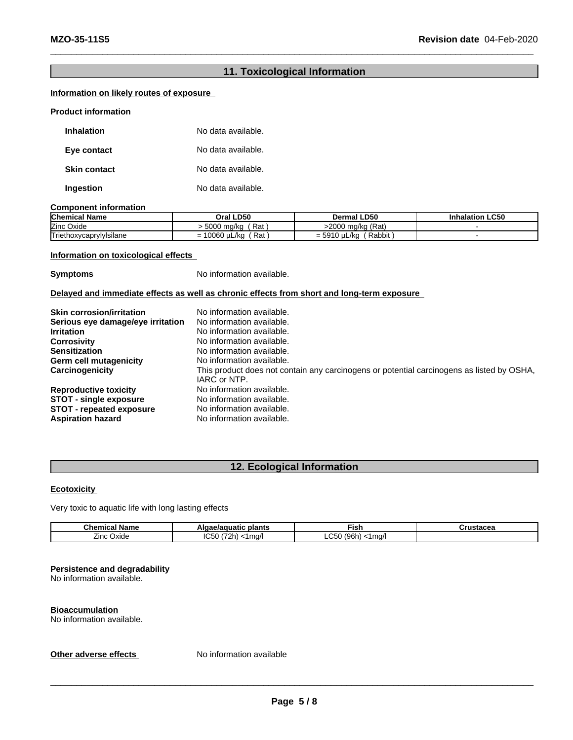### **11. Toxicological Information**

### **Information on likely routes of exposure**

#### **Product information**

| <b>Inhalation</b>   | No data available. |
|---------------------|--------------------|
| Eye contact         | No data available. |
| <b>Skin contact</b> | No data available. |
| Ingestion           | No data available. |

#### **Component information**

| <b>Chemical Name</b>    | Oral LD50                                                | າl LD50<br>Dermal                          | <b>Inhalation LC50</b> |
|-------------------------|----------------------------------------------------------|--------------------------------------------|------------------------|
| Zinc Oxide              | -222<br>Rat<br>ma/ka<br>วบบบ                             | ı (Rat)<br>>2000 ma/ka                     |                        |
| Triethoxycaprylylsilane | Rat<br>0.000<br>∟/kα<br>UU60<br>$\overline{\phantom{0}}$ | Rabbit<br><b>FOA</b><br>uL/ko<br>-<br>= లల |                        |

### **Information on toxicological effects**

**Symptoms** No information available.

### **Delayed and immediate effects as well as chronic effects from short and long-term exposure**

| <b>Skin corrosion/irritation</b>  | No information available.                                                                                 |
|-----------------------------------|-----------------------------------------------------------------------------------------------------------|
| Serious eye damage/eye irritation | No information available.                                                                                 |
| <b>Irritation</b>                 | No information available.                                                                                 |
| <b>Corrosivity</b>                | No information available.                                                                                 |
| <b>Sensitization</b>              | No information available.                                                                                 |
| Germ cell mutagenicity            | No information available.                                                                                 |
| Carcinogenicity                   | This product does not contain any carcinogens or potential carcinogens as listed by OSHA,<br>IARC or NTP. |
| <b>Reproductive toxicity</b>      | No information available.                                                                                 |
| <b>STOT - single exposure</b>     | No information available.                                                                                 |
| <b>STOT</b> - repeated exposure   | No information available.                                                                                 |
| <b>Aspiration hazard</b>          | No information available.                                                                                 |

## **12. Ecological Information**

### **Ecotoxicity**

Very toxic to aquatic life with long lasting effects

| Chem<br>Name<br>nıc       | plants<br>าuatic             | Fist                                                       | -<br>. |
|---------------------------|------------------------------|------------------------------------------------------------|--------|
| <b>Oxide</b><br>′ınc<br>. | $\sim$<br>ma<br>,,<br>.,<br> | $\sim$ $\sim$<br>$\sqrt{2}$<br>ີ<br>$\sim$<br>m<br>.<br>__ |        |

#### **Persistence and degradability**

No information available.

#### **Bioaccumulation**

No information available.

### **Other adverse effects** No information available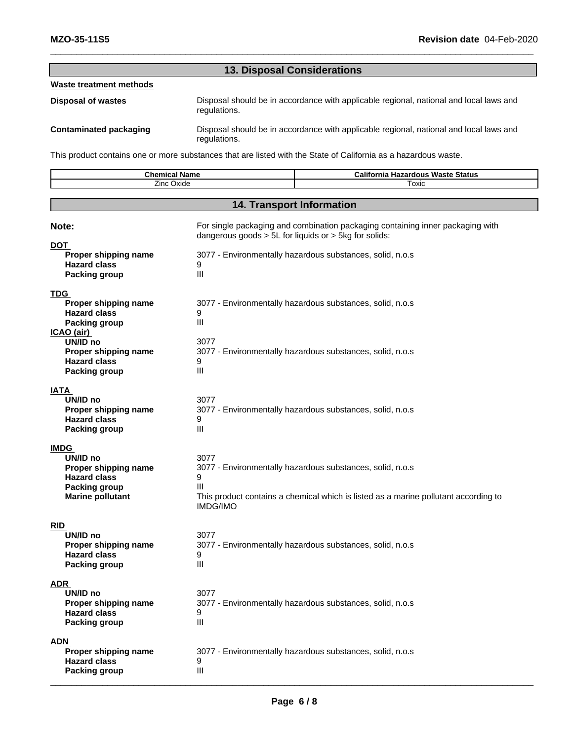|                               | <b>13. Disposal Considerations</b>                                                                     |
|-------------------------------|--------------------------------------------------------------------------------------------------------|
| Waste treatment methods       |                                                                                                        |
| <b>Disposal of wastes</b>     | Disposal should be in accordance with applicable regional, national and local laws and<br>regulations. |
| <b>Contaminated packaging</b> | Disposal should be in accordance with applicable regional, national and local laws and<br>regulations. |

This product contains one or more substances that are listed with the State of California as a hazardous waste.

| Zinc Oxide<br>Toxic<br><b>14. Transport Information</b><br>For single packaging and combination packaging containing inner packaging with<br>Note:<br>dangerous goods > 5L for liquids or > 5kg for solids:<br><b>DOT</b><br>Proper shipping name<br>3077 - Environmentally hazardous substances, solid, n.o.s<br><b>Hazard class</b><br>9<br>III<br>Packing group<br><b>TDG</b><br>Proper shipping name<br>3077 - Environmentally hazardous substances, solid, n.o.s<br><b>Hazard class</b><br>9<br>Ш<br><b>Packing group</b><br>ICAO (air)<br>UN/ID no<br>3077<br>Proper shipping name<br>3077 - Environmentally hazardous substances, solid, n.o.s<br>9<br><b>Hazard class</b><br>Ш<br>Packing group<br>IATA<br>UN/ID no<br>3077<br>3077 - Environmentally hazardous substances, solid, n.o.s<br>Proper shipping name<br><b>Hazard class</b><br>9<br>Ш<br><b>Packing group</b><br><b>IMDG</b><br>3077<br>UN/ID no<br>Proper shipping name<br>3077 - Environmentally hazardous substances, solid, n.o.s<br><b>Hazard class</b><br>9<br><b>Packing group</b><br>Ш<br><b>Marine pollutant</b><br>This product contains a chemical which is listed as a marine pollutant according to<br><b>IMDG/IMO</b><br><b>RID</b><br>UN/ID no<br>3077<br>Proper shipping name<br>3077 - Environmentally hazardous substances, solid, n.o.s<br><b>Hazard class</b><br>9<br>Ш<br><b>Packing group</b><br><b>ADR</b> | <b>Chemical Name</b> | <b>California Hazardous Waste Status</b> |
|-------------------------------------------------------------------------------------------------------------------------------------------------------------------------------------------------------------------------------------------------------------------------------------------------------------------------------------------------------------------------------------------------------------------------------------------------------------------------------------------------------------------------------------------------------------------------------------------------------------------------------------------------------------------------------------------------------------------------------------------------------------------------------------------------------------------------------------------------------------------------------------------------------------------------------------------------------------------------------------------------------------------------------------------------------------------------------------------------------------------------------------------------------------------------------------------------------------------------------------------------------------------------------------------------------------------------------------------------------------------------------------------------------|----------------------|------------------------------------------|
|                                                                                                                                                                                                                                                                                                                                                                                                                                                                                                                                                                                                                                                                                                                                                                                                                                                                                                                                                                                                                                                                                                                                                                                                                                                                                                                                                                                                       |                      |                                          |
|                                                                                                                                                                                                                                                                                                                                                                                                                                                                                                                                                                                                                                                                                                                                                                                                                                                                                                                                                                                                                                                                                                                                                                                                                                                                                                                                                                                                       |                      |                                          |
|                                                                                                                                                                                                                                                                                                                                                                                                                                                                                                                                                                                                                                                                                                                                                                                                                                                                                                                                                                                                                                                                                                                                                                                                                                                                                                                                                                                                       |                      |                                          |
|                                                                                                                                                                                                                                                                                                                                                                                                                                                                                                                                                                                                                                                                                                                                                                                                                                                                                                                                                                                                                                                                                                                                                                                                                                                                                                                                                                                                       |                      |                                          |
|                                                                                                                                                                                                                                                                                                                                                                                                                                                                                                                                                                                                                                                                                                                                                                                                                                                                                                                                                                                                                                                                                                                                                                                                                                                                                                                                                                                                       |                      |                                          |
|                                                                                                                                                                                                                                                                                                                                                                                                                                                                                                                                                                                                                                                                                                                                                                                                                                                                                                                                                                                                                                                                                                                                                                                                                                                                                                                                                                                                       |                      |                                          |
|                                                                                                                                                                                                                                                                                                                                                                                                                                                                                                                                                                                                                                                                                                                                                                                                                                                                                                                                                                                                                                                                                                                                                                                                                                                                                                                                                                                                       |                      |                                          |
|                                                                                                                                                                                                                                                                                                                                                                                                                                                                                                                                                                                                                                                                                                                                                                                                                                                                                                                                                                                                                                                                                                                                                                                                                                                                                                                                                                                                       |                      |                                          |
|                                                                                                                                                                                                                                                                                                                                                                                                                                                                                                                                                                                                                                                                                                                                                                                                                                                                                                                                                                                                                                                                                                                                                                                                                                                                                                                                                                                                       |                      |                                          |
|                                                                                                                                                                                                                                                                                                                                                                                                                                                                                                                                                                                                                                                                                                                                                                                                                                                                                                                                                                                                                                                                                                                                                                                                                                                                                                                                                                                                       |                      |                                          |
|                                                                                                                                                                                                                                                                                                                                                                                                                                                                                                                                                                                                                                                                                                                                                                                                                                                                                                                                                                                                                                                                                                                                                                                                                                                                                                                                                                                                       |                      |                                          |
|                                                                                                                                                                                                                                                                                                                                                                                                                                                                                                                                                                                                                                                                                                                                                                                                                                                                                                                                                                                                                                                                                                                                                                                                                                                                                                                                                                                                       |                      |                                          |
|                                                                                                                                                                                                                                                                                                                                                                                                                                                                                                                                                                                                                                                                                                                                                                                                                                                                                                                                                                                                                                                                                                                                                                                                                                                                                                                                                                                                       |                      |                                          |
|                                                                                                                                                                                                                                                                                                                                                                                                                                                                                                                                                                                                                                                                                                                                                                                                                                                                                                                                                                                                                                                                                                                                                                                                                                                                                                                                                                                                       |                      |                                          |
|                                                                                                                                                                                                                                                                                                                                                                                                                                                                                                                                                                                                                                                                                                                                                                                                                                                                                                                                                                                                                                                                                                                                                                                                                                                                                                                                                                                                       |                      |                                          |
|                                                                                                                                                                                                                                                                                                                                                                                                                                                                                                                                                                                                                                                                                                                                                                                                                                                                                                                                                                                                                                                                                                                                                                                                                                                                                                                                                                                                       |                      |                                          |
|                                                                                                                                                                                                                                                                                                                                                                                                                                                                                                                                                                                                                                                                                                                                                                                                                                                                                                                                                                                                                                                                                                                                                                                                                                                                                                                                                                                                       |                      |                                          |
|                                                                                                                                                                                                                                                                                                                                                                                                                                                                                                                                                                                                                                                                                                                                                                                                                                                                                                                                                                                                                                                                                                                                                                                                                                                                                                                                                                                                       |                      |                                          |
|                                                                                                                                                                                                                                                                                                                                                                                                                                                                                                                                                                                                                                                                                                                                                                                                                                                                                                                                                                                                                                                                                                                                                                                                                                                                                                                                                                                                       |                      |                                          |
|                                                                                                                                                                                                                                                                                                                                                                                                                                                                                                                                                                                                                                                                                                                                                                                                                                                                                                                                                                                                                                                                                                                                                                                                                                                                                                                                                                                                       |                      |                                          |
|                                                                                                                                                                                                                                                                                                                                                                                                                                                                                                                                                                                                                                                                                                                                                                                                                                                                                                                                                                                                                                                                                                                                                                                                                                                                                                                                                                                                       |                      |                                          |
|                                                                                                                                                                                                                                                                                                                                                                                                                                                                                                                                                                                                                                                                                                                                                                                                                                                                                                                                                                                                                                                                                                                                                                                                                                                                                                                                                                                                       |                      |                                          |
|                                                                                                                                                                                                                                                                                                                                                                                                                                                                                                                                                                                                                                                                                                                                                                                                                                                                                                                                                                                                                                                                                                                                                                                                                                                                                                                                                                                                       |                      |                                          |
|                                                                                                                                                                                                                                                                                                                                                                                                                                                                                                                                                                                                                                                                                                                                                                                                                                                                                                                                                                                                                                                                                                                                                                                                                                                                                                                                                                                                       |                      |                                          |
|                                                                                                                                                                                                                                                                                                                                                                                                                                                                                                                                                                                                                                                                                                                                                                                                                                                                                                                                                                                                                                                                                                                                                                                                                                                                                                                                                                                                       |                      |                                          |
|                                                                                                                                                                                                                                                                                                                                                                                                                                                                                                                                                                                                                                                                                                                                                                                                                                                                                                                                                                                                                                                                                                                                                                                                                                                                                                                                                                                                       |                      |                                          |
|                                                                                                                                                                                                                                                                                                                                                                                                                                                                                                                                                                                                                                                                                                                                                                                                                                                                                                                                                                                                                                                                                                                                                                                                                                                                                                                                                                                                       |                      |                                          |
|                                                                                                                                                                                                                                                                                                                                                                                                                                                                                                                                                                                                                                                                                                                                                                                                                                                                                                                                                                                                                                                                                                                                                                                                                                                                                                                                                                                                       |                      |                                          |
|                                                                                                                                                                                                                                                                                                                                                                                                                                                                                                                                                                                                                                                                                                                                                                                                                                                                                                                                                                                                                                                                                                                                                                                                                                                                                                                                                                                                       |                      |                                          |
|                                                                                                                                                                                                                                                                                                                                                                                                                                                                                                                                                                                                                                                                                                                                                                                                                                                                                                                                                                                                                                                                                                                                                                                                                                                                                                                                                                                                       |                      |                                          |
|                                                                                                                                                                                                                                                                                                                                                                                                                                                                                                                                                                                                                                                                                                                                                                                                                                                                                                                                                                                                                                                                                                                                                                                                                                                                                                                                                                                                       |                      |                                          |
|                                                                                                                                                                                                                                                                                                                                                                                                                                                                                                                                                                                                                                                                                                                                                                                                                                                                                                                                                                                                                                                                                                                                                                                                                                                                                                                                                                                                       |                      |                                          |
|                                                                                                                                                                                                                                                                                                                                                                                                                                                                                                                                                                                                                                                                                                                                                                                                                                                                                                                                                                                                                                                                                                                                                                                                                                                                                                                                                                                                       | UN/ID no             | 3077                                     |
| 3077 - Environmentally hazardous substances, solid, n.o.s<br>Proper shipping name                                                                                                                                                                                                                                                                                                                                                                                                                                                                                                                                                                                                                                                                                                                                                                                                                                                                                                                                                                                                                                                                                                                                                                                                                                                                                                                     |                      |                                          |
| <b>Hazard class</b><br>9                                                                                                                                                                                                                                                                                                                                                                                                                                                                                                                                                                                                                                                                                                                                                                                                                                                                                                                                                                                                                                                                                                                                                                                                                                                                                                                                                                              |                      |                                          |
| Ш<br>Packing group                                                                                                                                                                                                                                                                                                                                                                                                                                                                                                                                                                                                                                                                                                                                                                                                                                                                                                                                                                                                                                                                                                                                                                                                                                                                                                                                                                                    |                      |                                          |
| <b>ADN</b>                                                                                                                                                                                                                                                                                                                                                                                                                                                                                                                                                                                                                                                                                                                                                                                                                                                                                                                                                                                                                                                                                                                                                                                                                                                                                                                                                                                            |                      |                                          |
| Proper shipping name<br>3077 - Environmentally hazardous substances, solid, n.o.s                                                                                                                                                                                                                                                                                                                                                                                                                                                                                                                                                                                                                                                                                                                                                                                                                                                                                                                                                                                                                                                                                                                                                                                                                                                                                                                     |                      |                                          |
| <b>Hazard class</b><br>9                                                                                                                                                                                                                                                                                                                                                                                                                                                                                                                                                                                                                                                                                                                                                                                                                                                                                                                                                                                                                                                                                                                                                                                                                                                                                                                                                                              |                      |                                          |
| Ш<br><b>Packing group</b>                                                                                                                                                                                                                                                                                                                                                                                                                                                                                                                                                                                                                                                                                                                                                                                                                                                                                                                                                                                                                                                                                                                                                                                                                                                                                                                                                                             |                      |                                          |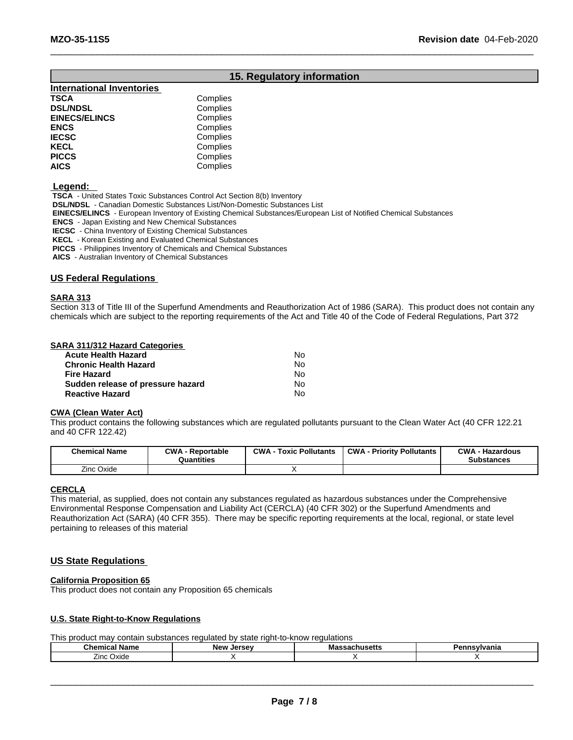### **15. Regulatory information**

| <b>International Inventories</b> |          |
|----------------------------------|----------|
| TSCA                             | Complies |
| <b>DSL/NDSL</b>                  | Complies |
| <b>EINECS/ELINCS</b>             | Complies |
| ENCS                             | Complies |
| <b>IECSC</b>                     | Complies |
| KECL                             | Complies |
| PICCS                            | Complies |
| AICS                             | Complies |
|                                  |          |

 **Legend:** 

 **TSCA** - United States Toxic Substances Control Act Section 8(b) Inventory

 **DSL/NDSL** - Canadian Domestic Substances List/Non-Domestic Substances List

 **EINECS/ELINCS** - European Inventory of Existing Chemical Substances/European List of Notified Chemical Substances

 **ENCS** - Japan Existing and New Chemical Substances

 **IECSC** - China Inventory of Existing Chemical Substances

 **KECL** - Korean Existing and Evaluated Chemical Substances

 **PICCS** - Philippines Inventory of Chemicals and Chemical Substances

 **AICS** - Australian Inventory of Chemical Substances

### **US Federal Regulations**

#### **SARA 313**

Section 313 of Title III of the Superfund Amendments and Reauthorization Act of 1986 (SARA). This product does not contain any chemicals which are subject to the reporting requirements of the Act and Title 40 of the Code of Federal Regulations, Part 372

#### **SARA 311/312 Hazard Categories**

| Acute Health Hazard               | No. |  |
|-----------------------------------|-----|--|
| Chronic Health Hazard             | No. |  |
| Fire Hazard                       | No. |  |
| Sudden release of pressure hazard | No. |  |
| Reactive Hazard                   | N٥  |  |

#### **CWA (Clean WaterAct)**

This product contains the following substances which are regulated pollutants pursuant to the Clean Water Act (40 CFR 122.21 and 40 CFR 122.42)

| <b>Chemical Name</b> | $\sim$ WA<br><b>Reportable</b><br>Quantities | CWA<br>: Pollutants<br>Toxic | <b>CWA</b><br><b>A - Priority Pollutants</b> | <b>CWA</b><br>· Hazardous<br>Substances |
|----------------------|----------------------------------------------|------------------------------|----------------------------------------------|-----------------------------------------|
| Oxide<br>Zinc        |                                              |                              |                                              |                                         |

#### **CERCLA**

This material, as supplied, does not contain any substances regulated as hazardous substances under the Comprehensive Environmental Response Compensation and Liability Act (CERCLA) (40 CFR 302) or the Superfund Amendments and Reauthorization Act (SARA) (40 CFR 355). There may be specific reporting requirements at the local, regional, or state level pertaining to releases of this material

### **US State Regulations**

#### **California Proposition 65**

This product does not contain any Proposition 65 chemicals

#### **U.S. State Right-to-Know Regulations**

This product may contain substances regulated by state right-to-know regulations

| $\sim$<br>Name<br>emical<br>⊶ne∽ | NAW<br>I<br>17C<br>JELSE | พเดออดบเเนอซแอ | ™Ivania |
|----------------------------------|--------------------------|----------------|---------|
| -<br>∠ınc<br>Oxide               |                          |                |         |